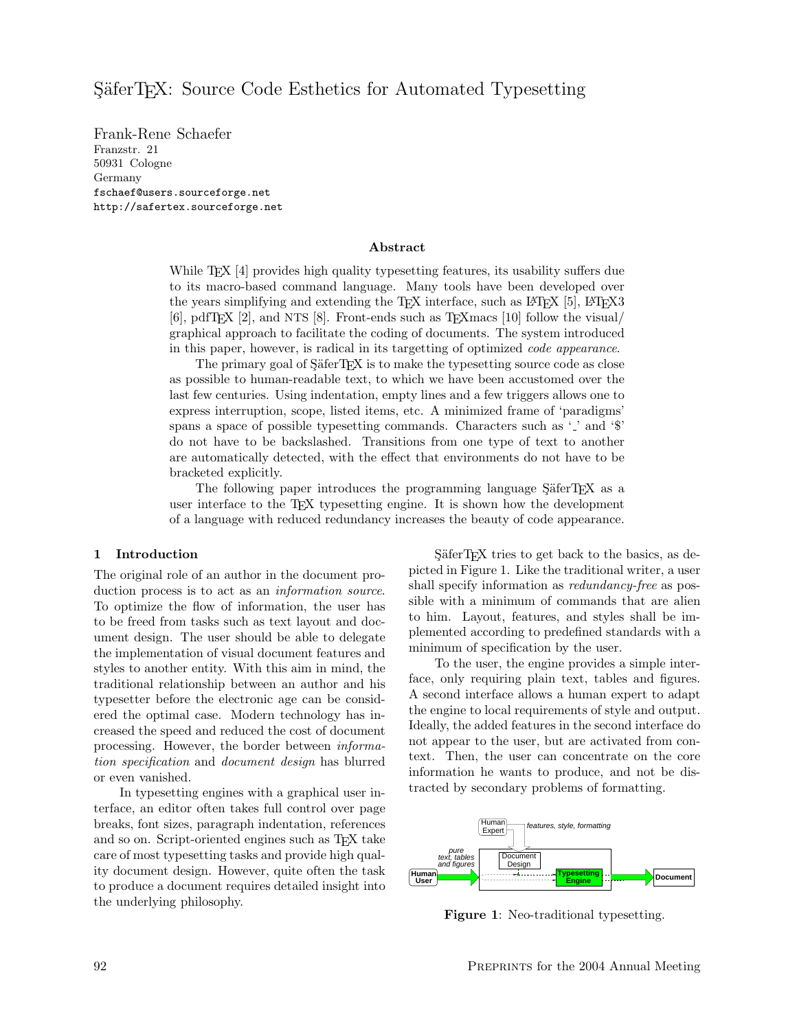Frank-Rene Schaefer Franzstr. 21 50931 Cologne Germany fschaef@users.sourceforge.net http://safertex.sourceforge.net

### Abstract

While T<sub>E</sub>X [4] provides high quality typesetting features, its usability suffers due to its macro-based command language. Many tools have been developed over the years simplifying and extending the TFX interface, such as  $E^T$ F $K$  [5],  $E^T$ F $K^3$  $[6]$ , pdfTFX  $[2]$ , and NTS  $[8]$ . Front-ends such as TFX macs  $[10]$  follow the visual/ graphical approach to facilitate the coding of documents. The system introduced in this paper, however, is radical in its targetting of optimized code appearance.

The primary goal of SäferTEX is to make the typesetting source code as close as possible to human-readable text, to which we have been accustomed over the last few centuries. Using indentation, empty lines and a few triggers allows one to express interruption, scope, listed items, etc. A minimized frame of 'paradigms' spans a space of possible typesetting commands. Characters such as  $\cdot$  ' and  $\cdot$ \$' do not have to be backslashed. Transitions from one type of text to another are automatically detected, with the effect that environments do not have to be bracketed explicitly.

The following paper introduces the programming language SäferTEX as a user interface to the TEX typesetting engine. It is shown how the development of a language with reduced redundancy increases the beauty of code appearance.

### 1 Introduction

The original role of an author in the document production process is to act as an information source. To optimize the flow of information, the user has to be freed from tasks such as text layout and document design. The user should be able to delegate the implementation of visual document features and styles to another entity. With this aim in mind, the traditional relationship between an author and his typesetter before the electronic age can be considered the optimal case. Modern technology has increased the speed and reduced the cost of document processing. However, the border between information specification and document design has blurred or even vanished.

In typesetting engines with a graphical user interface, an editor often takes full control over page breaks, font sizes, paragraph indentation, references and so on. Script-oriented engines such as TEX take care of most typesetting tasks and provide high quality document design. However, quite often the task to produce a document requires detailed insight into the underlying philosophy.

SäferTFX tries to get back to the basics, as depicted in Figure 1. Like the traditional writer, a user shall specify information as *redundancy-free* as possible with a minimum of commands that are alien to him. Layout, features, and styles shall be implemented according to predefined standards with a minimum of specification by the user.

To the user, the engine provides a simple interface, only requiring plain text, tables and figures. A second interface allows a human expert to adapt the engine to local requirements of style and output. Ideally, the added features in the second interface do not appear to the user, but are activated from context. Then, the user can concentrate on the core information he wants to produce, and not be distracted by secondary problems of formatting.



Figure 1: Neo-traditional typesetting.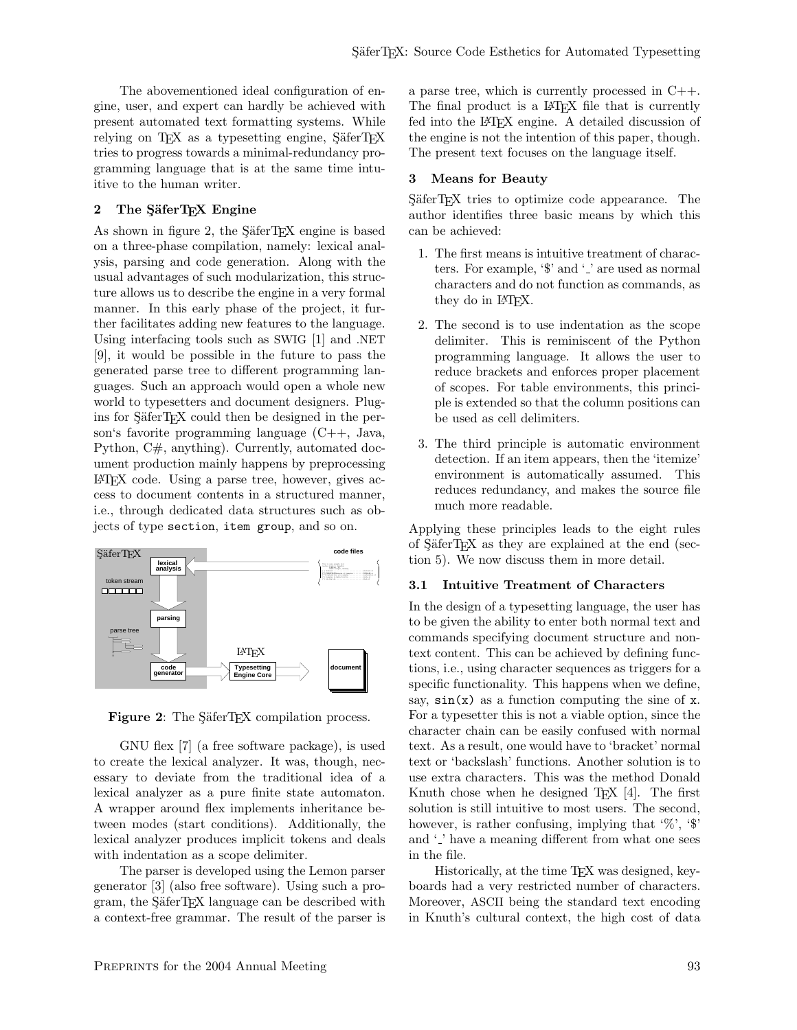The abovementioned ideal configuration of engine, user, and expert can hardly be achieved with present automated text formatting systems. While relying on  $T_F X$  as a typesetting engine,  $\overline{\text{SäferTr}} X$ tries to progress towards a minimal-redundancy programming language that is at the same time intuitive to the human writer.

### 2 The SäferTFX Engine

As shown in figure 2, the  $\hat{\text{Säfer}}$ TEX engine is based on a three-phase compilation, namely: lexical analysis, parsing and code generation. Along with the usual advantages of such modularization, this structure allows us to describe the engine in a very formal manner. In this early phase of the project, it further facilitates adding new features to the language. Using interfacing tools such as SWIG [1] and .NET [9], it would be possible in the future to pass the generated parse tree to different programming languages. Such an approach would open a whole new world to typesetters and document designers. Plugins for SäferT<sub>EX</sub> could then be designed in the person's favorite programming language (C++, Java, Python, C#, anything). Currently, automated document production mainly happens by preprocessing L<sup>A</sup>TEX code. Using a parse tree, however, gives access to document contents in a structured manner, i.e., through dedicated data structures such as objects of type section, item group, and so on.



Figure 2: The SäferT<sub>EX</sub> compilation process.

GNU flex [7] (a free software package), is used to create the lexical analyzer. It was, though, necessary to deviate from the traditional idea of a lexical analyzer as a pure finite state automaton. A wrapper around flex implements inheritance between modes (start conditions). Additionally, the lexical analyzer produces implicit tokens and deals with indentation as a scope delimiter.

The parser is developed using the Lemon parser generator [3] (also free software). Using such a program, the SäferTEX language can be described with a context-free grammar. The result of the parser is a parse tree, which is currently processed in C++. The final product is a LAT<sub>F</sub>X file that is currently fed into the L<sup>A</sup>TEX engine. A detailed discussion of the engine is not the intention of this paper, though. The present text focuses on the language itself.

### 3 Means for Beauty

SäferT<sub>EX</sub> tries to optimize code appearance. The author identifies three basic means by which this can be achieved:

- 1. The first means is intuitive treatment of characters. For example, '\$' and ' ' are used as normal characters and do not function as commands, as they do in LAT<sub>EX</sub>.
- 2. The second is to use indentation as the scope delimiter. This is reminiscent of the Python programming language. It allows the user to reduce brackets and enforces proper placement of scopes. For table environments, this principle is extended so that the column positions can be used as cell delimiters.
- 3. The third principle is automatic environment detection. If an item appears, then the 'itemize' environment is automatically assumed. This reduces redundancy, and makes the source file much more readable.

Applying these principles leads to the eight rules of SäferTEX as they are explained at the end (section 5). We now discuss them in more detail.

### 3.1 Intuitive Treatment of Characters

In the design of a typesetting language, the user has to be given the ability to enter both normal text and commands specifying document structure and nontext content. This can be achieved by defining functions, i.e., using character sequences as triggers for a specific functionality. This happens when we define, say,  $sin(x)$  as a function computing the sine of x. For a typesetter this is not a viable option, since the character chain can be easily confused with normal text. As a result, one would have to 'bracket' normal text or 'backslash' functions. Another solution is to use extra characters. This was the method Donald Knuth chose when he designed  $TFX$  [4]. The first solution is still intuitive to most users. The second, however, is rather confusing, implying that  $\mathcal{C}'$ ,  $\mathcal{F}'$ and ' ' have a meaning different from what one sees in the file.

Historically, at the time TEX was designed, keyboards had a very restricted number of characters. Moreover, ASCII being the standard text encoding in Knuth's cultural context, the high cost of data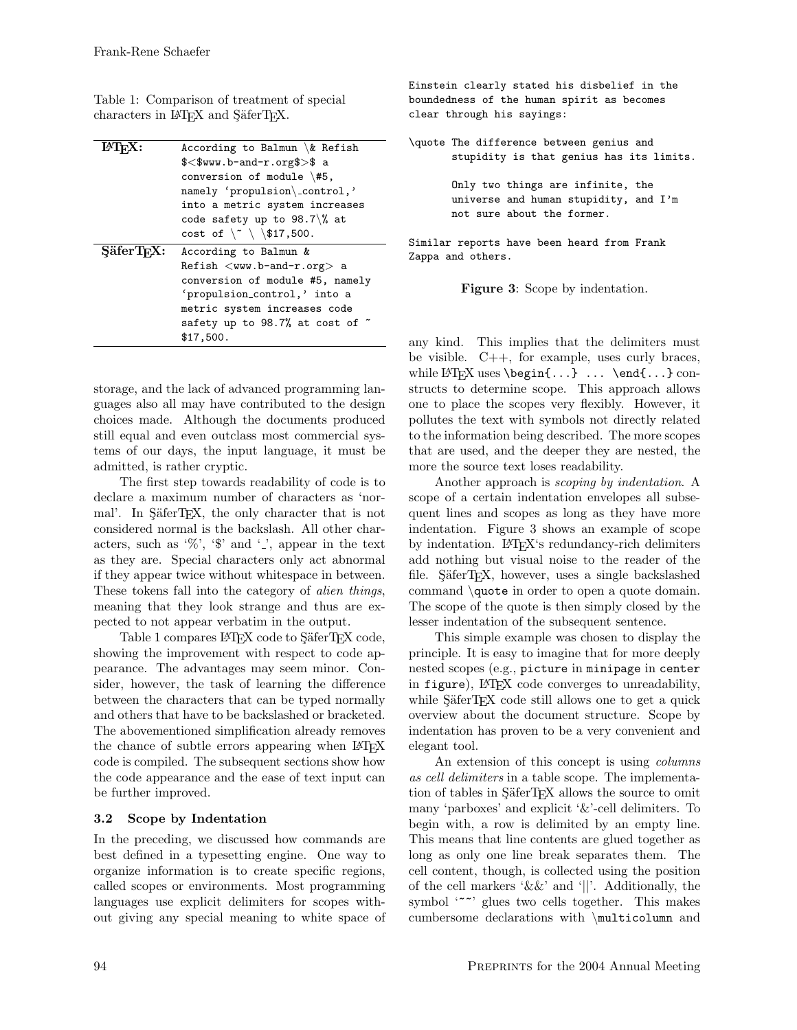Table 1: Comparison of treatment of special characters in LAT<sub>EX</sub> and SäferTEX.

|                                          | According to Balmun $\&$ Refish                                                                                                                                                                                                                                                                                     |  |  |  |  |  |  |  |
|------------------------------------------|---------------------------------------------------------------------------------------------------------------------------------------------------------------------------------------------------------------------------------------------------------------------------------------------------------------------|--|--|--|--|--|--|--|
|                                          | $\frac{2}{3}$ $\frac{2}{3}$ $\frac{1}{2}$ $\frac{1}{2}$ $\frac{1}{2}$ $\frac{1}{2}$ $\frac{1}{2}$ $\frac{1}{2}$ $\frac{1}{2}$ $\frac{1}{2}$ $\frac{1}{2}$ $\frac{1}{2}$ $\frac{1}{2}$ $\frac{1}{2}$ $\frac{1}{2}$ $\frac{1}{2}$ $\frac{1}{2}$ $\frac{1}{2}$ $\frac{1}{2}$ $\frac{1}{2}$ $\frac{1}{2}$ $\frac{1}{2}$ |  |  |  |  |  |  |  |
|                                          | conversion of module $\#5$ ,                                                                                                                                                                                                                                                                                        |  |  |  |  |  |  |  |
|                                          | namely 'propulsion\_control,'                                                                                                                                                                                                                                                                                       |  |  |  |  |  |  |  |
|                                          | into a metric system increases                                                                                                                                                                                                                                                                                      |  |  |  |  |  |  |  |
|                                          | code safety up to 98.7\% at                                                                                                                                                                                                                                                                                         |  |  |  |  |  |  |  |
|                                          | cost of $\uparrow \ \, \setminus$ \$17,500.                                                                                                                                                                                                                                                                         |  |  |  |  |  |  |  |
| $S\ddot{\text{a}}\text{fer}T\text{F}X$ : | According to Balmun &                                                                                                                                                                                                                                                                                               |  |  |  |  |  |  |  |
|                                          | Refish $\langle$ www.b-and-r.org $>$ a                                                                                                                                                                                                                                                                              |  |  |  |  |  |  |  |
|                                          | conversion of module #5, namely                                                                                                                                                                                                                                                                                     |  |  |  |  |  |  |  |
|                                          |                                                                                                                                                                                                                                                                                                                     |  |  |  |  |  |  |  |
|                                          | 'propulsion_control,' into a                                                                                                                                                                                                                                                                                        |  |  |  |  |  |  |  |
|                                          | metric system increases code                                                                                                                                                                                                                                                                                        |  |  |  |  |  |  |  |
|                                          | safety up to 98.7% at cost of ~                                                                                                                                                                                                                                                                                     |  |  |  |  |  |  |  |
|                                          | \$17,500.                                                                                                                                                                                                                                                                                                           |  |  |  |  |  |  |  |

storage, and the lack of advanced programming languages also all may have contributed to the design choices made. Although the documents produced still equal and even outclass most commercial systems of our days, the input language, it must be admitted, is rather cryptic.

The first step towards readability of code is to declare a maximum number of characters as 'normal'. In SäferTEX, the only character that is not considered normal is the backslash. All other characters, such as  $\mathcal{C}, \mathcal{C}$ ,  $\mathcal{C}$  and  $\mathcal{C}$ , appear in the text as they are. Special characters only act abnormal if they appear twice without whitespace in between. These tokens fall into the category of alien things, meaning that they look strange and thus are expected to not appear verbatim in the output.

Table 1 compares LATEX code to SaferTEX code, showing the improvement with respect to code appearance. The advantages may seem minor. Consider, however, the task of learning the difference between the characters that can be typed normally and others that have to be backslashed or bracketed. The abovementioned simplification already removes the chance of subtle errors appearing when  $\angle$ FFX code is compiled. The subsequent sections show how the code appearance and the ease of text input can be further improved.

## 3.2 Scope by Indentation

In the preceding, we discussed how commands are best defined in a typesetting engine. One way to organize information is to create specific regions, called scopes or environments. Most programming languages use explicit delimiters for scopes without giving any special meaning to white space of

Einstein clearly stated his disbelief in the boundedness of the human spirit as becomes clear through his sayings:

\quote The difference between genius and stupidity is that genius has its limits.

> Only two things are infinite, the universe and human stupidity, and I'm not sure about the former.

Similar reports have been heard from Frank Zappa and others.

Figure 3: Scope by indentation.

any kind. This implies that the delimiters must be visible. C++, for example, uses curly braces, while  $\text{FT}$  uses \begin{...} ... \end{...} constructs to determine scope. This approach allows one to place the scopes very flexibly. However, it pollutes the text with symbols not directly related to the information being described. The more scopes that are used, and the deeper they are nested, the more the source text loses readability.

Another approach is scoping by indentation. A scope of a certain indentation envelopes all subsequent lines and scopes as long as they have more indentation. Figure 3 shows an example of scope by indentation. LAT<sub>EX</sub>'s redundancy-rich delimiters add nothing but visual noise to the reader of the file. SäferT<sub>EX</sub>, however, uses a single backslashed command \quote in order to open a quote domain. The scope of the quote is then simply closed by the lesser indentation of the subsequent sentence.

This simple example was chosen to display the principle. It is easy to imagine that for more deeply nested scopes (e.g., picture in minipage in center in figure), L<sup>A</sup>TEX code converges to unreadability, while SäferT<sub>EX</sub> code still allows one to get a quick overview about the document structure. Scope by indentation has proven to be a very convenient and elegant tool.

An extension of this concept is using *columns* as cell delimiters in a table scope. The implementation of tables in SäferTFX allows the source to omit many 'parboxes' and explicit '&'-cell delimiters. To begin with, a row is delimited by an empty line. This means that line contents are glued together as long as only one line break separates them. The cell content, though, is collected using the position of the cell markers '&&' and '||'. Additionally, the symbol """ glues two cells together. This makes cumbersome declarations with \multicolumn and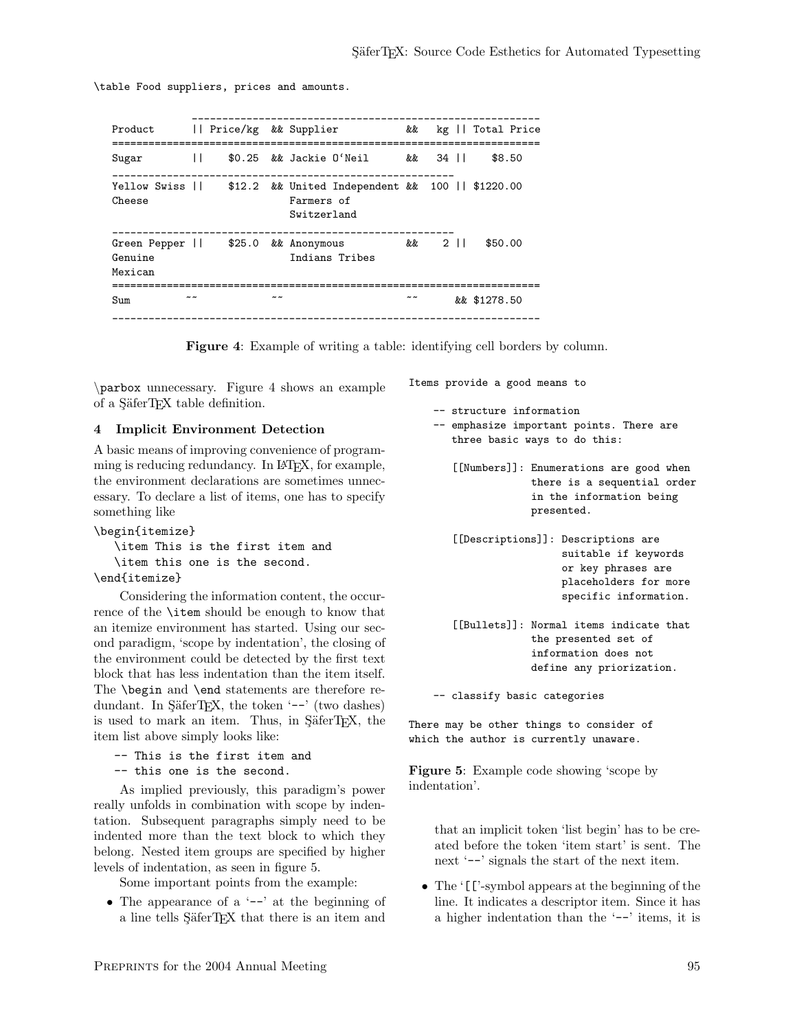| Product                               |               | Price/kg && Supplier |               |                                                                                 | &&            |       |               | kg    Total Price |
|---------------------------------------|---------------|----------------------|---------------|---------------------------------------------------------------------------------|---------------|-------|---------------|-------------------|
| Sugar                                 | $\mathsf{L}$  |                      |               | \$0.25 && Jackie O'Neil                                                         | &&            | 34 II |               | \$8.50            |
| Yellow Swiss   <br>Cheese             |               |                      |               | \$12.2 & United Independent & \$ 100     \$1220.00<br>Farmers of<br>Switzerland |               |       |               |                   |
| Green Pepper   <br>Genuine<br>Mexican |               |                      |               | \$25.0 && Anonymous<br>Indians Tribes                                           | &&            |       | $2 \mid \mid$ | \$50.00           |
| Sum                                   | $\sim$ $\sim$ |                      | $\sim$ $\sim$ |                                                                                 | $\sim$ $\sim$ |       |               | && \$1278.50      |

\table Food suppliers, prices and amounts.

Figure 4: Example of writing a table: identifying cell borders by column.

\parbox unnecessary. Figure 4 shows an example of a SäferTFX table definition.

### 4 Implicit Environment Detection

A basic means of improving convenience of programming is reducing redundancy. In LAT<sub>EX</sub>, for example, the environment declarations are sometimes unnecessary. To declare a list of items, one has to specify something like

```
\begin{itemize}
```
\item This is the first item and \item this one is the second. \end{itemize}

Considering the information content, the occurrence of the \item should be enough to know that an itemize environment has started. Using our second paradigm, 'scope by indentation', the closing of the environment could be detected by the first text block that has less indentation than the item itself. The \begin and \end statements are therefore redundant. In SäferT<sub>E</sub>X, the token ' $-$ ' (two dashes) is used to mark an item. Thus, in SäferTEX, the item list above simply looks like:

-- This is the first item and -- this one is the second.

As implied previously, this paradigm's power really unfolds in combination with scope by indentation. Subsequent paragraphs simply need to be indented more than the text block to which they belong. Nested item groups are specified by higher levels of indentation, as seen in figure 5.

Some important points from the example:

• The appearance of a '--' at the beginning of a line tells SäferTEX that there is an item and Items provide a good means to

- -- structure information
- -- emphasize important points. There are three basic ways to do this:
	- [[Numbers]]: Enumerations are good when there is a sequential order in the information being presented.
	- [[Descriptions]]: Descriptions are suitable if keywords or key phrases are placeholders for more specific information.
	- [[Bullets]]: Normal items indicate that the presented set of information does not define any priorization.

-- classify basic categories

There may be other things to consider of which the author is currently unaware.

Figure 5: Example code showing 'scope by indentation'.

> that an implicit token 'list begin' has to be created before the token 'item start' is sent. The next '--' signals the start of the next item.

• The '[['-symbol appears at the beginning of the line. It indicates a descriptor item. Since it has a higher indentation than the '--' items, it is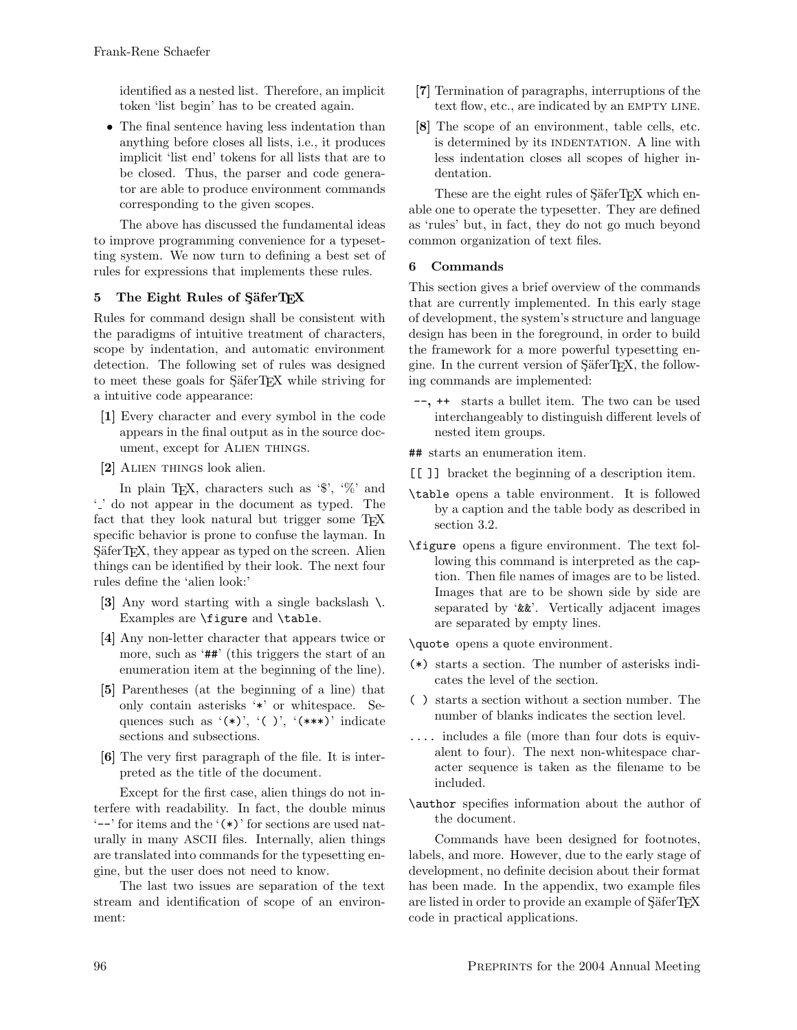identified as a nested list. Therefore, an implicit token 'list begin' has to be created again.

• The final sentence having less indentation than anything before closes all lists, i.e., it produces implicit 'list end' tokens for all lists that are to be closed. Thus, the parser and code generator are able to produce environment commands corresponding to the given scopes.

The above has discussed the fundamental ideas to improve programming convenience for a typesetting system. We now turn to defining a best set of rules for expressions that implements these rules.

# $5$  The Eight Rules of SäferTEX

Rules for command design shall be consistent with the paradigms of intuitive treatment of characters, scope by indentation, and automatic environment detection. The following set of rules was designed to meet these goals for SäferTEX while striving for a intuitive code appearance:

- [1] Every character and every symbol in the code appears in the final output as in the source document, except for ALIEN THINGS.
- [2] ALIEN THINGS look alien.

In plain T<sub>E</sub>X, characters such as  $\mathcal{F}, \mathcal{F}$  and ' ' do not appear in the document as typed. The fact that they look natural but trigger some T<sub>E</sub>X specific behavior is prone to confuse the layman. In SäferTEX, they appear as typed on the screen. Alien things can be identified by their look. The next four rules define the 'alien look:'

- [3] Any word starting with a single backslash \. Examples are \figure and \table.
- [4] Any non-letter character that appears twice or more, such as '##' (this triggers the start of an enumeration item at the beginning of the line).
- [5] Parentheses (at the beginning of a line) that only contain asterisks '\*' or whitespace. Sequences such as  $'(*)$ ,  $'()$ ,  $'(***)'$  indicate sections and subsections.
- [6] The very first paragraph of the file. It is interpreted as the title of the document.

Except for the first case, alien things do not interfere with readability. In fact, the double minus  $\left(-\right)$  for items and the  $\left(\ast\right)$  for sections are used naturally in many ASCII files. Internally, alien things are translated into commands for the typesetting engine, but the user does not need to know.

The last two issues are separation of the text stream and identification of scope of an environment:

- [7] Termination of paragraphs, interruptions of the text flow, etc., are indicated by an empty line.
- [8] The scope of an environment, table cells, etc. is determined by its INDENTATION. A line with less indentation closes all scopes of higher indentation.

These are the eight rules of SäferTEX which enable one to operate the typesetter. They are defined as 'rules' but, in fact, they do not go much beyond common organization of text files.

# 6 Commands

This section gives a brief overview of the commands that are currently implemented. In this early stage of development, the system's structure and language design has been in the foreground, in order to build the framework for a more powerful typesetting engine. In the current version of SäferTEX, the following commands are implemented:

- --, ++ starts a bullet item. The two can be used interchangeably to distinguish different levels of nested item groups.
- ## starts an enumeration item.
- [[ ]] bracket the beginning of a description item.
- \table opens a table environment. It is followed by a caption and the table body as described in section 3.2.
- \figure opens a figure environment. The text following this command is interpreted as the caption. Then file names of images are to be listed. Images that are to be shown side by side are separated by '&&'. Vertically adjacent images are separated by empty lines.

\quote opens a quote environment.

- (\*) starts a section. The number of asterisks indicates the level of the section.
- ( ) starts a section without a section number. The number of blanks indicates the section level.
- .... includes a file (more than four dots is equivalent to four). The next non-whitespace character sequence is taken as the filename to be included.
- \author specifies information about the author of the document.

Commands have been designed for footnotes, labels, and more. However, due to the early stage of development, no definite decision about their format has been made. In the appendix, two example files are listed in order to provide an example of SäferTEX code in practical applications.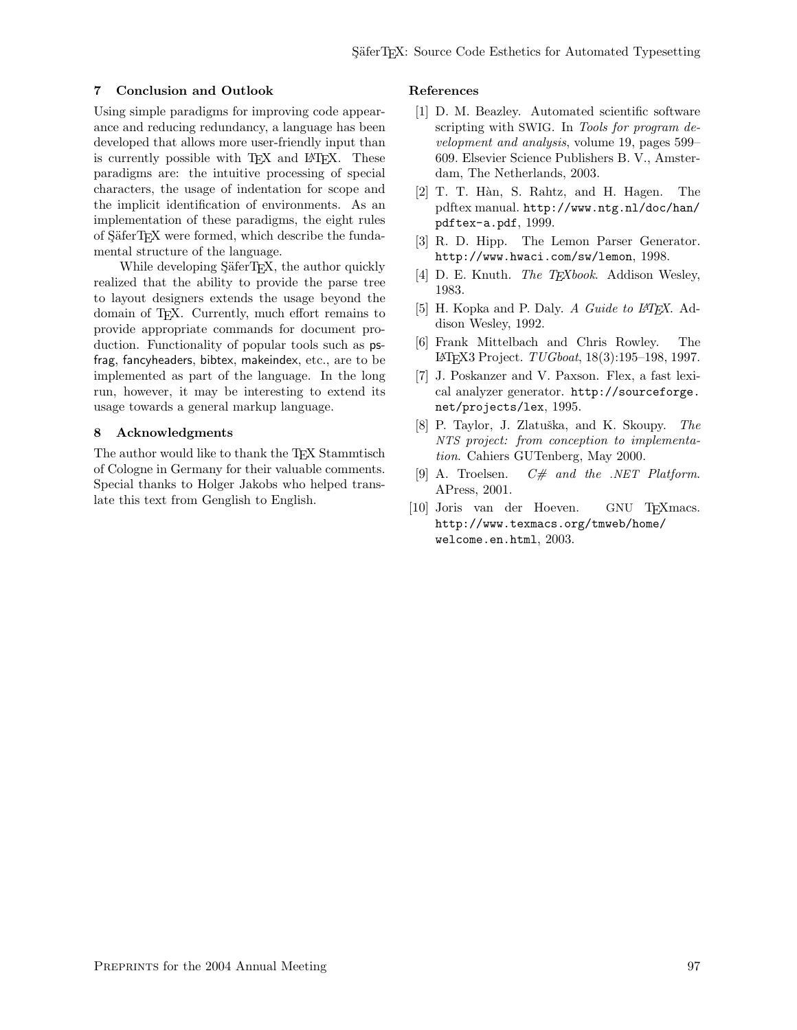### 7 Conclusion and Outlook

Using simple paradigms for improving code appearance and reducing redundancy, a language has been developed that allows more user-friendly input than is currently possible with T<sub>EX</sub> and L<sup>AT</sup>EX. These paradigms are: the intuitive processing of special characters, the usage of indentation for scope and the implicit identification of environments. As an implementation of these paradigms, the eight rules of SäferTEX were formed, which describe the fundamental structure of the language.

While developing SäferT<sub>EX</sub>, the author quickly realized that the ability to provide the parse tree to layout designers extends the usage beyond the domain of TEX. Currently, much effort remains to provide appropriate commands for document production. Functionality of popular tools such as psfrag, fancyheaders, bibtex, makeindex, etc., are to be implemented as part of the language. In the long run, however, it may be interesting to extend its usage towards a general markup language.

#### 8 Acknowledgments

The author would like to thank the TFX Stammtisch of Cologne in Germany for their valuable comments. Special thanks to Holger Jakobs who helped translate this text from Genglish to English.

### References

- [1] D. M. Beazley. Automated scientific software scripting with SWIG. In Tools for program development and analysis, volume 19, pages 599– 609. Elsevier Science Publishers B. V., Amsterdam, The Netherlands, 2003.
- [2] T. T. Hàn, S. Rahtz, and H. Hagen. The pdftex manual. http://www.ntg.nl/doc/han/ pdftex-a.pdf, 1999.
- [3] R. D. Hipp. The Lemon Parser Generator. http://www.hwaci.com/sw/lemon, 1998.
- [4] D. E. Knuth. *The TEXbook*. Addison Wesley, 1983.
- [5] H. Kopka and P. Daly. A Guide to  $\cancel{B T} \cancel{F} X$ . Addison Wesley, 1992.
- [6] Frank Mittelbach and Chris Rowley. The L<sup>A</sup>TEX3 Project. TUGboat, 18(3):195–198, 1997.
- [7] J. Poskanzer and V. Paxson. Flex, a fast lexical analyzer generator. http://sourceforge. net/projects/lex, 1995.
- [8] P. Taylor, J. Zlatuška, and K. Skoupy. The NTS project: from conception to implementation. Cahiers GUTenberg, May 2000.
- [9] A. Troelsen.  $C \#$  and the .NET Platform. APress, 2001.
- [10] Joris van der Hoeven. GNU TEXmacs. http://www.texmacs.org/tmweb/home/ welcome.en.html, 2003.